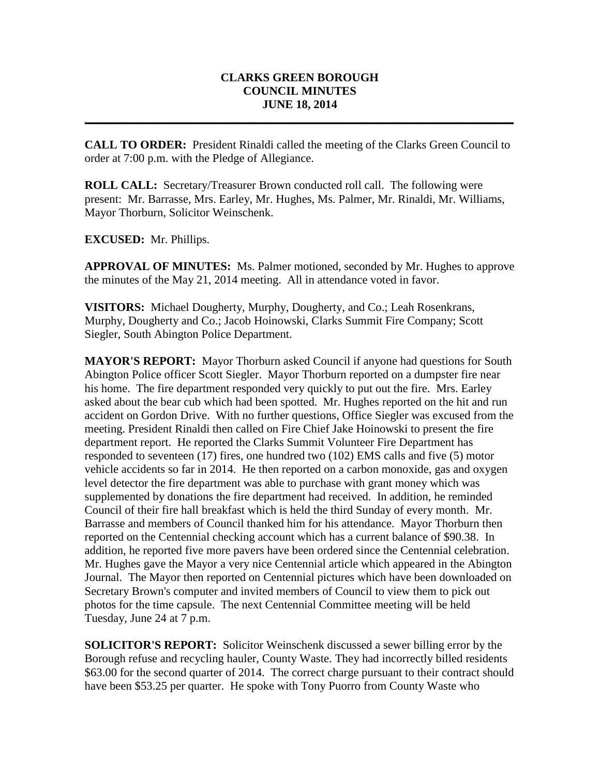## **CLARKS GREEN BOROUGH COUNCIL MINUTES JUNE 18, 2014**

**\_\_\_\_\_\_\_\_\_\_\_\_\_\_\_\_\_\_\_\_\_\_\_\_\_\_\_\_\_\_\_\_\_\_\_\_\_\_\_\_\_\_\_\_\_\_\_\_\_\_\_\_\_\_\_\_\_\_\_\_\_\_\_\_\_\_\_\_\_\_\_\_\_**

**CALL TO ORDER:** President Rinaldi called the meeting of the Clarks Green Council to order at 7:00 p.m. with the Pledge of Allegiance.

**ROLL CALL:** Secretary/Treasurer Brown conducted roll call. The following were present: Mr. Barrasse, Mrs. Earley, Mr. Hughes, Ms. Palmer, Mr. Rinaldi, Mr. Williams, Mayor Thorburn, Solicitor Weinschenk.

**EXCUSED:** Mr. Phillips.

**APPROVAL OF MINUTES:** Ms. Palmer motioned, seconded by Mr. Hughes to approve the minutes of the May 21, 2014 meeting. All in attendance voted in favor.

**VISITORS:** Michael Dougherty, Murphy, Dougherty, and Co.; Leah Rosenkrans, Murphy, Dougherty and Co.; Jacob Hoinowski, Clarks Summit Fire Company; Scott Siegler, South Abington Police Department.

**MAYOR'S REPORT:** Mayor Thorburn asked Council if anyone had questions for South Abington Police officer Scott Siegler. Mayor Thorburn reported on a dumpster fire near his home. The fire department responded very quickly to put out the fire. Mrs. Earley asked about the bear cub which had been spotted. Mr. Hughes reported on the hit and run accident on Gordon Drive. With no further questions, Office Siegler was excused from the meeting. President Rinaldi then called on Fire Chief Jake Hoinowski to present the fire department report. He reported the Clarks Summit Volunteer Fire Department has responded to seventeen (17) fires, one hundred two (102) EMS calls and five (5) motor vehicle accidents so far in 2014. He then reported on a carbon monoxide, gas and oxygen level detector the fire department was able to purchase with grant money which was supplemented by donations the fire department had received. In addition, he reminded Council of their fire hall breakfast which is held the third Sunday of every month. Mr. Barrasse and members of Council thanked him for his attendance. Mayor Thorburn then reported on the Centennial checking account which has a current balance of \$90.38. In addition, he reported five more pavers have been ordered since the Centennial celebration. Mr. Hughes gave the Mayor a very nice Centennial article which appeared in the Abington Journal. The Mayor then reported on Centennial pictures which have been downloaded on Secretary Brown's computer and invited members of Council to view them to pick out photos for the time capsule. The next Centennial Committee meeting will be held Tuesday, June 24 at 7 p.m.

**SOLICITOR'S REPORT:** Solicitor Weinschenk discussed a sewer billing error by the Borough refuse and recycling hauler, County Waste. They had incorrectly billed residents \$63.00 for the second quarter of 2014. The correct charge pursuant to their contract should have been \$53.25 per quarter. He spoke with Tony Puorro from County Waste who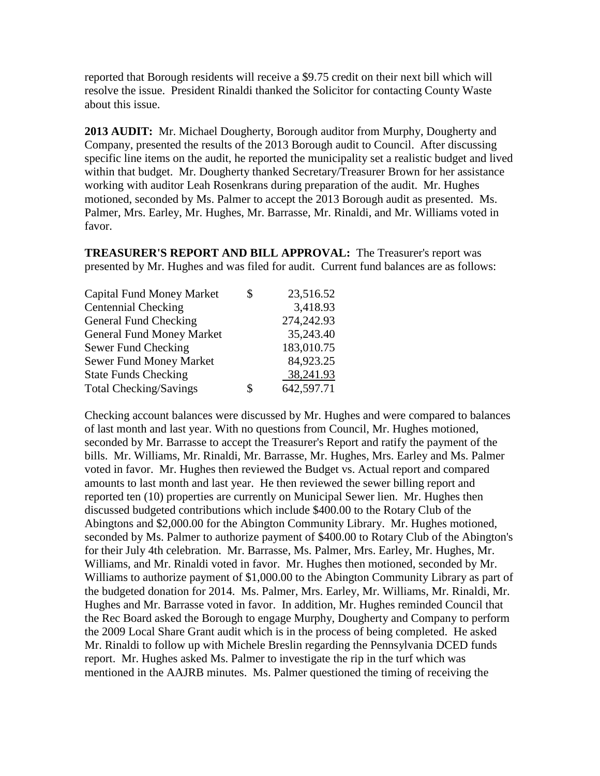reported that Borough residents will receive a \$9.75 credit on their next bill which will resolve the issue. President Rinaldi thanked the Solicitor for contacting County Waste about this issue.

**2013 AUDIT:** Mr. Michael Dougherty, Borough auditor from Murphy, Dougherty and Company, presented the results of the 2013 Borough audit to Council. After discussing specific line items on the audit, he reported the municipality set a realistic budget and lived within that budget. Mr. Dougherty thanked Secretary/Treasurer Brown for her assistance working with auditor Leah Rosenkrans during preparation of the audit. Mr. Hughes motioned, seconded by Ms. Palmer to accept the 2013 Borough audit as presented. Ms. Palmer, Mrs. Earley, Mr. Hughes, Mr. Barrasse, Mr. Rinaldi, and Mr. Williams voted in favor.

**TREASURER'S REPORT AND BILL APPROVAL:** The Treasurer's report was presented by Mr. Hughes and was filed for audit. Current fund balances are as follows:

|   | 23,516.52  |
|---|------------|
|   | 3,418.93   |
|   | 274,242.93 |
|   | 35,243.40  |
|   | 183,010.75 |
|   | 84,923.25  |
|   | 38,241.93  |
| S | 642,597.71 |
|   |            |

Checking account balances were discussed by Mr. Hughes and were compared to balances of last month and last year. With no questions from Council, Mr. Hughes motioned, seconded by Mr. Barrasse to accept the Treasurer's Report and ratify the payment of the bills. Mr. Williams, Mr. Rinaldi, Mr. Barrasse, Mr. Hughes, Mrs. Earley and Ms. Palmer voted in favor. Mr. Hughes then reviewed the Budget vs. Actual report and compared amounts to last month and last year. He then reviewed the sewer billing report and reported ten (10) properties are currently on Municipal Sewer lien. Mr. Hughes then discussed budgeted contributions which include \$400.00 to the Rotary Club of the Abingtons and \$2,000.00 for the Abington Community Library. Mr. Hughes motioned, seconded by Ms. Palmer to authorize payment of \$400.00 to Rotary Club of the Abington's for their July 4th celebration. Mr. Barrasse, Ms. Palmer, Mrs. Earley, Mr. Hughes, Mr. Williams, and Mr. Rinaldi voted in favor. Mr. Hughes then motioned, seconded by Mr. Williams to authorize payment of \$1,000.00 to the Abington Community Library as part of the budgeted donation for 2014. Ms. Palmer, Mrs. Earley, Mr. Williams, Mr. Rinaldi, Mr. Hughes and Mr. Barrasse voted in favor. In addition, Mr. Hughes reminded Council that the Rec Board asked the Borough to engage Murphy, Dougherty and Company to perform the 2009 Local Share Grant audit which is in the process of being completed. He asked Mr. Rinaldi to follow up with Michele Breslin regarding the Pennsylvania DCED funds report. Mr. Hughes asked Ms. Palmer to investigate the rip in the turf which was mentioned in the AAJRB minutes. Ms. Palmer questioned the timing of receiving the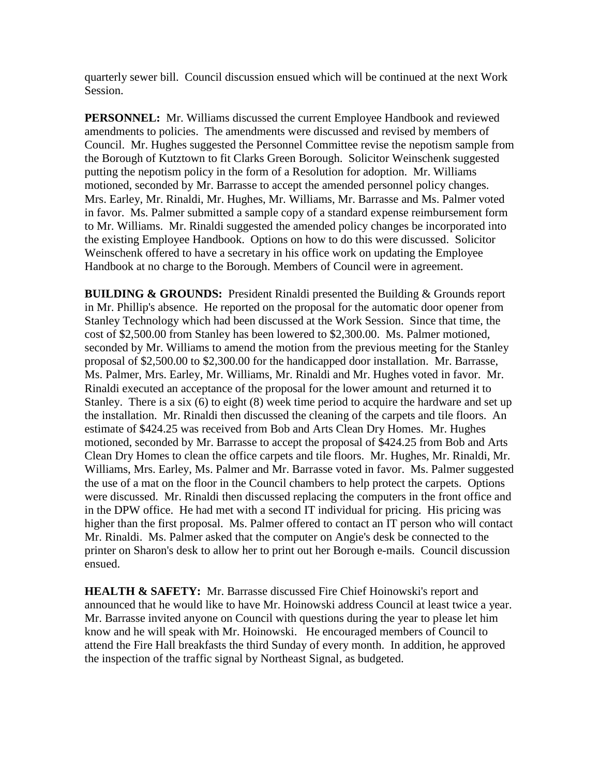quarterly sewer bill. Council discussion ensued which will be continued at the next Work Session.

**PERSONNEL:** Mr. Williams discussed the current Employee Handbook and reviewed amendments to policies. The amendments were discussed and revised by members of Council. Mr. Hughes suggested the Personnel Committee revise the nepotism sample from the Borough of Kutztown to fit Clarks Green Borough. Solicitor Weinschenk suggested putting the nepotism policy in the form of a Resolution for adoption. Mr. Williams motioned, seconded by Mr. Barrasse to accept the amended personnel policy changes. Mrs. Earley, Mr. Rinaldi, Mr. Hughes, Mr. Williams, Mr. Barrasse and Ms. Palmer voted in favor. Ms. Palmer submitted a sample copy of a standard expense reimbursement form to Mr. Williams. Mr. Rinaldi suggested the amended policy changes be incorporated into the existing Employee Handbook. Options on how to do this were discussed. Solicitor Weinschenk offered to have a secretary in his office work on updating the Employee Handbook at no charge to the Borough. Members of Council were in agreement.

**BUILDING & GROUNDS:** President Rinaldi presented the Building & Grounds report in Mr. Phillip's absence. He reported on the proposal for the automatic door opener from Stanley Technology which had been discussed at the Work Session. Since that time, the cost of \$2,500.00 from Stanley has been lowered to \$2,300.00. Ms. Palmer motioned, seconded by Mr. Williams to amend the motion from the previous meeting for the Stanley proposal of \$2,500.00 to \$2,300.00 for the handicapped door installation. Mr. Barrasse, Ms. Palmer, Mrs. Earley, Mr. Williams, Mr. Rinaldi and Mr. Hughes voted in favor. Mr. Rinaldi executed an acceptance of the proposal for the lower amount and returned it to Stanley. There is a six (6) to eight (8) week time period to acquire the hardware and set up the installation. Mr. Rinaldi then discussed the cleaning of the carpets and tile floors. An estimate of \$424.25 was received from Bob and Arts Clean Dry Homes. Mr. Hughes motioned, seconded by Mr. Barrasse to accept the proposal of \$424.25 from Bob and Arts Clean Dry Homes to clean the office carpets and tile floors. Mr. Hughes, Mr. Rinaldi, Mr. Williams, Mrs. Earley, Ms. Palmer and Mr. Barrasse voted in favor. Ms. Palmer suggested the use of a mat on the floor in the Council chambers to help protect the carpets. Options were discussed. Mr. Rinaldi then discussed replacing the computers in the front office and in the DPW office. He had met with a second IT individual for pricing. His pricing was higher than the first proposal. Ms. Palmer offered to contact an IT person who will contact Mr. Rinaldi. Ms. Palmer asked that the computer on Angie's desk be connected to the printer on Sharon's desk to allow her to print out her Borough e-mails. Council discussion ensued.

**HEALTH & SAFETY:** Mr. Barrasse discussed Fire Chief Hoinowski's report and announced that he would like to have Mr. Hoinowski address Council at least twice a year. Mr. Barrasse invited anyone on Council with questions during the year to please let him know and he will speak with Mr. Hoinowski. He encouraged members of Council to attend the Fire Hall breakfasts the third Sunday of every month. In addition, he approved the inspection of the traffic signal by Northeast Signal, as budgeted.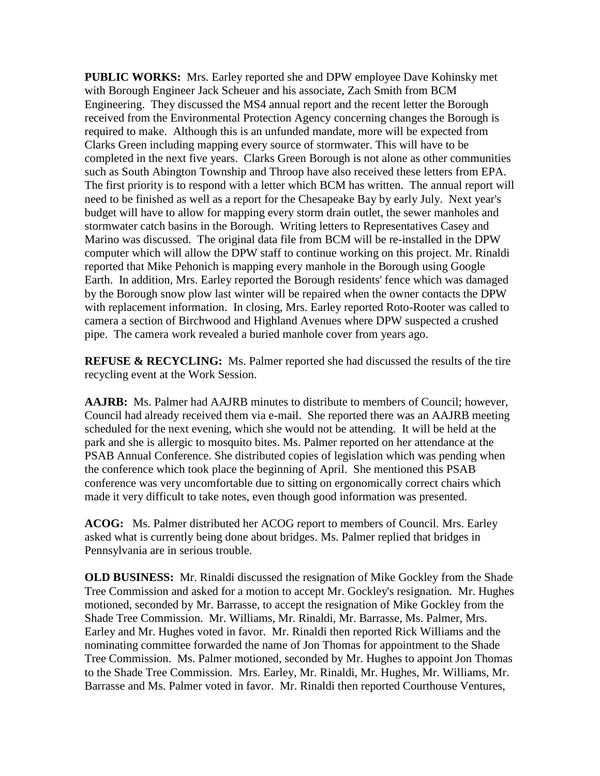**PUBLIC WORKS:** Mrs. Earley reported she and DPW employee Dave Kohinsky met with Borough Engineer Jack Scheuer and his associate, Zach Smith from BCM Engineering. They discussed the MS4 annual report and the recent letter the Borough received from the Environmental Protection Agency concerning changes the Borough is required to make. Although this is an unfunded mandate, more will be expected from Clarks Green including mapping every source of stormwater. This will have to be completed in the next five years. Clarks Green Borough is not alone as other communities such as South Abington Township and Throop have also received these letters from EPA. The first priority is to respond with a letter which BCM has written. The annual report will need to be finished as well as a report for the Chesapeake Bay by early July. Next year's budget will have to allow for mapping every storm drain outlet, the sewer manholes and stormwater catch basins in the Borough. Writing letters to Representatives Casey and Marino was discussed. The original data file from BCM will be re-installed in the DPW computer which will allow the DPW staff to continue working on this project. Mr. Rinaldi reported that Mike Pehonich is mapping every manhole in the Borough using Google Earth. In addition, Mrs. Earley reported the Borough residents' fence which was damaged by the Borough snow plow last winter will be repaired when the owner contacts the DPW with replacement information. In closing, Mrs. Earley reported Roto-Rooter was called to camera a section of Birchwood and Highland Avenues where DPW suspected a crushed pipe. The camera work revealed a buried manhole cover from years ago.

**REFUSE & RECYCLING:** Ms. Palmer reported she had discussed the results of the tire recycling event at the Work Session.

**AAJRB:** Ms. Palmer had AAJRB minutes to distribute to members of Council; however, Council had already received them via e-mail. She reported there was an AAJRB meeting scheduled for the next evening, which she would not be attending. It will be held at the park and she is allergic to mosquito bites. Ms. Palmer reported on her attendance at the PSAB Annual Conference. She distributed copies of legislation which was pending when the conference which took place the beginning of April. She mentioned this PSAB conference was very uncomfortable due to sitting on ergonomically correct chairs which made it very difficult to take notes, even though good information was presented.

**ACOG:** Ms. Palmer distributed her ACOG report to members of Council. Mrs. Earley asked what is currently being done about bridges. Ms. Palmer replied that bridges in Pennsylvania are in serious trouble.

**OLD BUSINESS:** Mr. Rinaldi discussed the resignation of Mike Gockley from the Shade Tree Commission and asked for a motion to accept Mr. Gockley's resignation. Mr. Hughes motioned, seconded by Mr. Barrasse, to accept the resignation of Mike Gockley from the Shade Tree Commission. Mr. Williams, Mr. Rinaldi, Mr. Barrasse, Ms. Palmer, Mrs. Earley and Mr. Hughes voted in favor. Mr. Rinaldi then reported Rick Williams and the nominating committee forwarded the name of Jon Thomas for appointment to the Shade Tree Commission. Ms. Palmer motioned, seconded by Mr. Hughes to appoint Jon Thomas to the Shade Tree Commission. Mrs. Earley, Mr. Rinaldi, Mr. Hughes, Mr. Williams, Mr. Barrasse and Ms. Palmer voted in favor. Mr. Rinaldi then reported Courthouse Ventures,